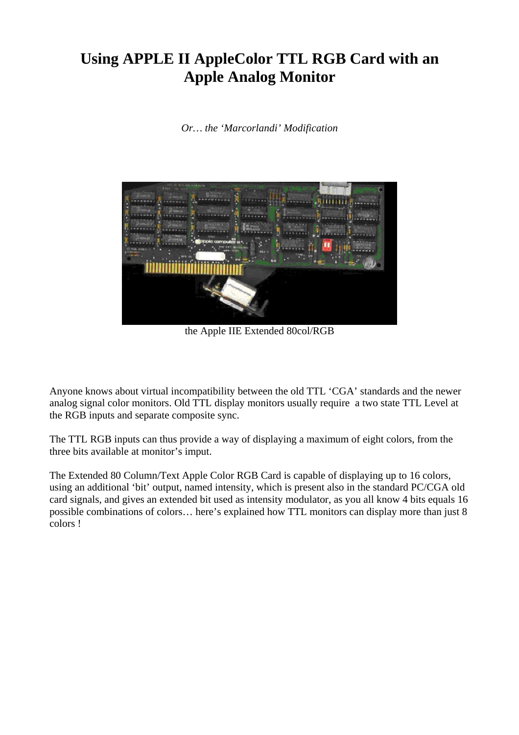## **Using APPLE II AppleColor TTL RGB Card with an Apple Analog Monitor**

*Or… the 'Marcorlandi' Modification* 



the Apple IIE Extended 80col/RGB

Anyone knows about virtual incompatibility between the old TTL 'CGA' standards and the newer analog signal color monitors. Old TTL display monitors usually require a two state TTL Level at the RGB inputs and separate composite sync.

The TTL RGB inputs can thus provide a way of displaying a maximum of eight colors, from the three bits available at monitor's imput.

The Extended 80 Column/Text Apple Color RGB Card is capable of displaying up to 16 colors, using an additional 'bit' output, named intensity, which is present also in the standard PC/CGA old card signals, and gives an extended bit used as intensity modulator, as you all know 4 bits equals 16 possible combinations of colors… here's explained how TTL monitors can display more than just 8 colors !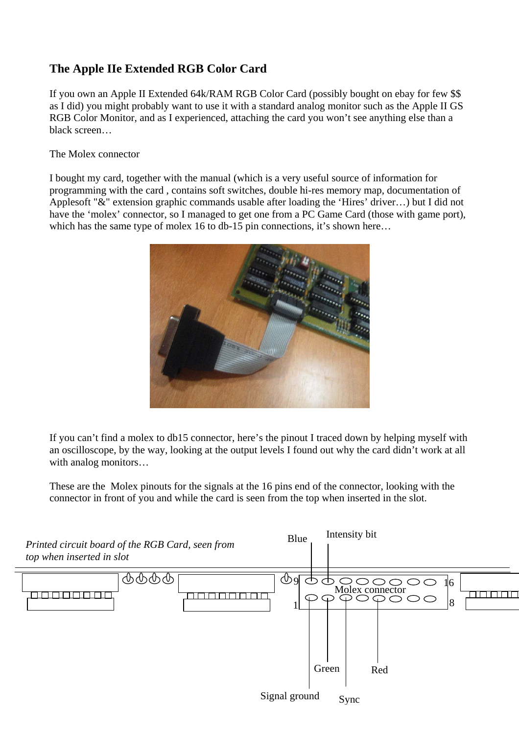## **The Apple IIe Extended RGB Color Card**

If you own an Apple II Extended 64k/RAM RGB Color Card (possibly bought on ebay for few \$\$ as I did) you might probably want to use it with a standard analog monitor such as the Apple II GS RGB Color Monitor, and as I experienced, attaching the card you won't see anything else than a black screen…

The Molex connector

I bought my card, together with the manual (which is a very useful source of information for programming with the card , contains soft switches, double hi-res memory map, documentation of Applesoft "&" extension graphic commands usable after loading the 'Hires' driver…) but I did not have the 'molex' connector, so I managed to get one from a PC Game Card (those with game port), which has the same type of molex 16 to db-15 pin connections, it's shown here...



If you can't find a molex to db15 connector, here's the pinout I traced down by helping myself with an oscilloscope, by the way, looking at the output levels I found out why the card didn't work at all with analog monitors…

These are the Molex pinouts for the signals at the 16 pins end of the connector, looking with the connector in front of you and while the card is seen from the top when inserted in the slot.

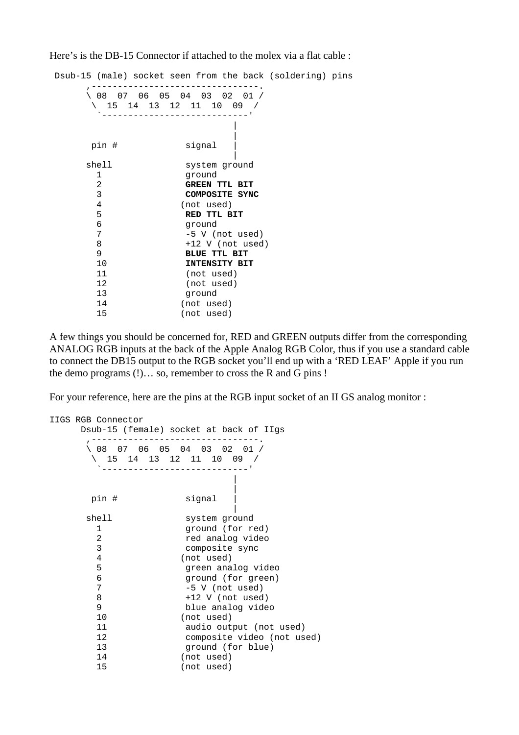Here's is the DB-15 Connector if attached to the molex via a flat cable :

 Dsub-15 (male) socket seen from the back (soldering) pins ,--------------------------------. \ 08 07 06 05 04 03 02 01 / \ 15 14 13 12 11 10 09 / `----------------------------' produced a state of the state of the state of the state of the state of the state of produced a state of the state of the state of the state of the state of the state of pin # signal produced a series of the series of the series of the series of the series of the shell system ground 1 ground 2 **GREEN TTL BIT** 3 **COMPOSITE SYNC** 4 (not used)<br>5 **RED TTL B**  5 **RED TTL BIT**   $\begin{array}{ccc} 6 & \text{ground} \\ 7 & -5 \text{ V} \end{array}$ -5 V (not used) 8 +12 V (not used) 9 **BLUE TTL BIT**<br>10 **INTENSITY BI**  10 **INTENSITY BIT** 11 (not used) 12 (not used) 13 ground 14 (not used) 15 (not used)

A few things you should be concerned for, RED and GREEN outputs differ from the corresponding ANALOG RGB inputs at the back of the Apple Analog RGB Color, thus if you use a standard cable to connect the DB15 output to the RGB socket you'll end up with a 'RED LEAF' Apple if you run the demo programs (!)… so, remember to cross the R and G pins !

For your reference, here are the pins at the RGB input socket of an II GS analog monitor :

```
IIGS RGB Connector 
      Dsub-15 (female) socket at back of IIgs 
       ,--------------------------------. 
       \ 08 07 06 05 04 03 02 01 / 
        \ 15 14 13 12 11 10 09 / 
          `----------------------------' 
produced a state of the state of the state of the state of the state of the state of
produced a state of the state of the state of the state of the state of the state of
       pin # signal
produced a series of the series of the series of the series of the series of the
      shell system ground
         1 ground (for red) 
         2 red analog video 
         3 composite sync 
         4 (not used) 
         5 green analog video 
         6 ground (for green) 
         7 -5 V (not used) 
         8 +12 V (not used) 
         9 blue analog video 
         10 (not used) 
         11 audio output (not used) 
         12 composite video (not used) 
         13 ground (for blue) 
         14 (not used) 
         15 (not used)
```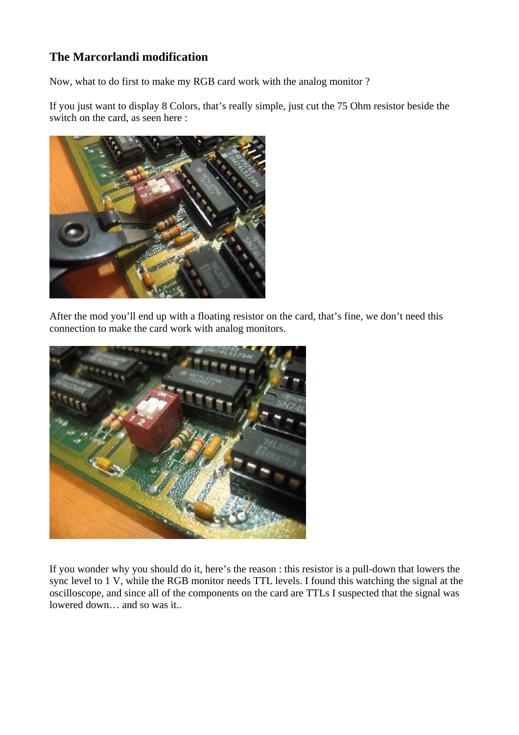## **The Marcorlandi modification**

Now, what to do first to make my RGB card work with the analog monitor ?

If you just want to display 8 Colors, that's really simple, just cut the 75 Ohm resistor beside the switch on the card, as seen here :



After the mod you'll end up with a floating resistor on the card, that's fine, we don't need this connection to make the card work with analog monitors.



If you wonder why you should do it, here's the reason : this resistor is a pull-down that lowers the sync level to 1 V, while the RGB monitor needs TTL levels. I found this watching the signal at the oscilloscope, and since all of the components on the card are TTLs I suspected that the signal was lowered down… and so was it..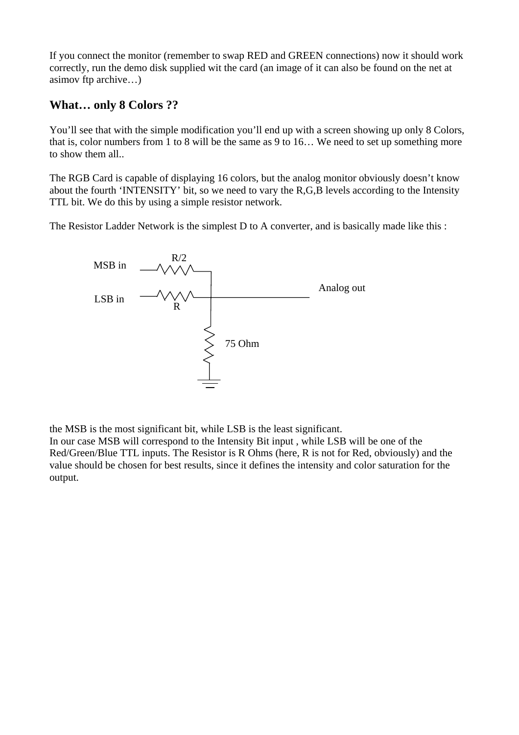If you connect the monitor (remember to swap RED and GREEN connections) now it should work correctly, run the demo disk supplied wit the card (an image of it can also be found on the net at asimov ftp archive…)

## **What… only 8 Colors ??**

You'll see that with the simple modification you'll end up with a screen showing up only 8 Colors, that is, color numbers from 1 to 8 will be the same as 9 to 16… We need to set up something more to show them all..

The RGB Card is capable of displaying 16 colors, but the analog monitor obviously doesn't know about the fourth 'INTENSITY' bit, so we need to vary the R,G,B levels according to the Intensity TTL bit. We do this by using a simple resistor network.

The Resistor Ladder Network is the simplest D to A converter, and is basically made like this :



the MSB is the most significant bit, while LSB is the least significant.

In our case MSB will correspond to the Intensity Bit input , while LSB will be one of the Red/Green/Blue TTL inputs. The Resistor is R Ohms (here, R is not for Red, obviously) and the value should be chosen for best results, since it defines the intensity and color saturation for the output.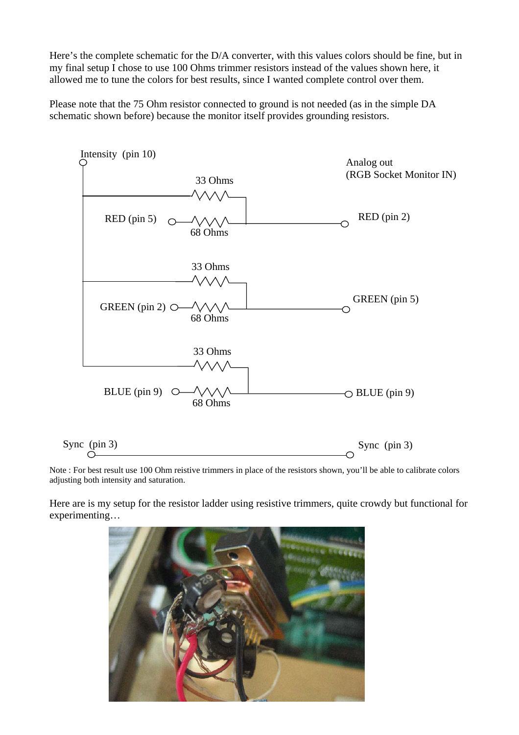Here's the complete schematic for the D/A converter, with this values colors should be fine, but in my final setup I chose to use 100 Ohms trimmer resistors instead of the values shown here, it allowed me to tune the colors for best results, since I wanted complete control over them.

Please note that the 75 Ohm resistor connected to ground is not needed (as in the simple DA schematic shown before) because the monitor itself provides grounding resistors.



Note : For best result use 100 Ohm reistive trimmers in place of the resistors shown, you'll be able to calibrate colors adjusting both intensity and saturation.

Here are is my setup for the resistor ladder using resistive trimmers, quite crowdy but functional for experimenting…